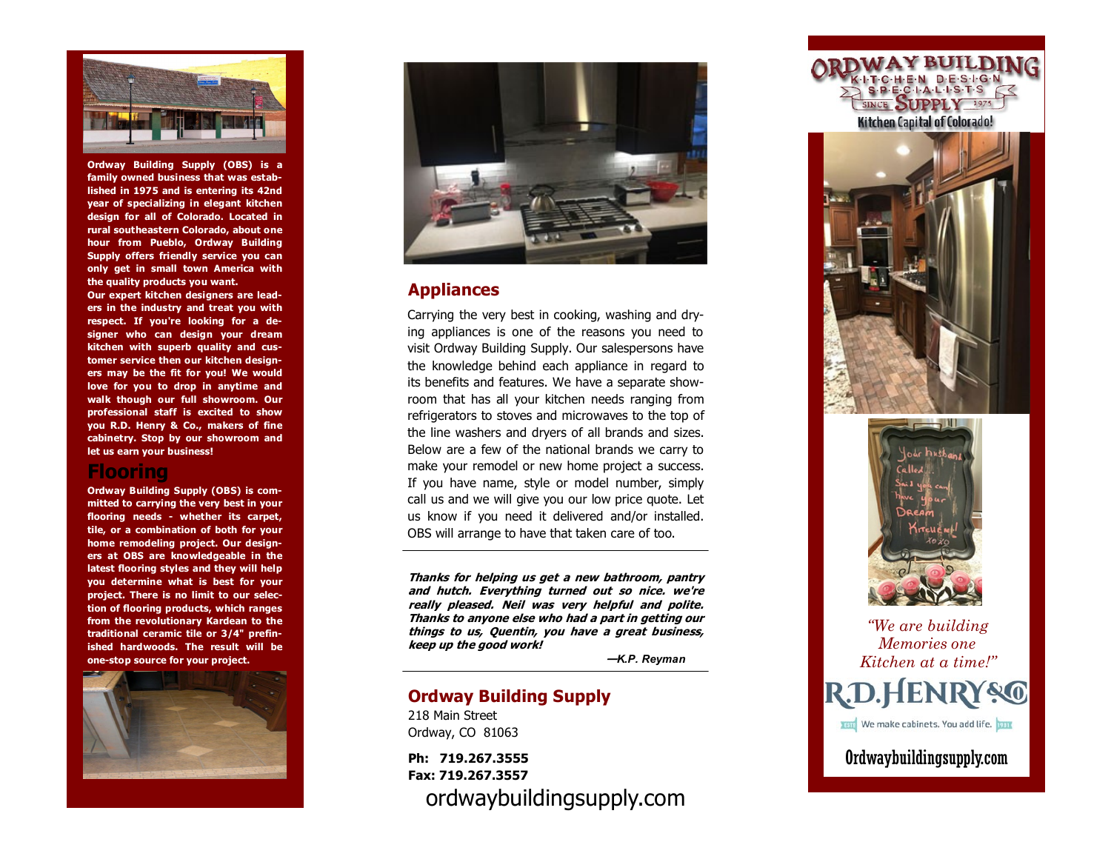

**Ordway Building Supply (OBS) is a family owned business that was established in 1975 and is entering its 42nd year of specializing in elegant kitchen design for all of Colorado. Located in rural southeastern Colorado, about one hour from Pueblo, Ordway Building Supply offers friendly service you can only get in small town America with the quality products you want.** 

**Our expert kitchen designers are leaders in the industry and treat you with respect. If you're looking for a designer who can design your dream kitchen with superb quality and customer service then our kitchen designers may be the fit for you! We would love for you to drop in anytime and walk though our full showroom. Our professional staff is excited to show you R.D. Henry & Co., makers of fine cabinetry. Stop by our showroom and let us earn your business!**

### **Flooring**

**Ordway Building Supply (OBS) is committed to carrying the very best in your flooring needs - whether its carpet, tile, or a combination of both for your home remodeling project. Our designers at OBS are knowledgeable in the latest flooring styles and they will help you determine what is best for your project. There is no limit to our selection of flooring products, which ranges from the revolutionary Kardean to the traditional ceramic tile or 3/4" prefinished hardwoods. The result will be one -stop source for your project.**





### **Appliances**

Carrying the very best in cooking, washing and drying appliances is one of the reasons you need to visit Ordway Building Supply. Our salespersons have the knowledge behind each appliance in regard to its benefits and features. We have a separate showroom that has all your kitchen needs ranging from refrigerators to stoves and microwaves to the top of the line washers and dryers of all brands and sizes. Below are a few of the national brands we carry to make your remodel or new home project a success. If you have name, style or model number, simply call us and we will give you our low price quote. Let us know if you need it delivered and/or installed. OBS will arrange to have that taken care of too.

**Thanks for helping us get a new bathroom, pantry and hutch. Everything turned out so nice. we're really pleased. Neil was very helpful and polite. Thanks to anyone else who had a part in getting our things to us, Quentin, you have a great business, keep up the good work!** 

**—***K.P. Reyman*

## **Ordway Building Supply**

218 Main Street Ordway, CO 81063

**Ph: 719.267.3555 Fax: 719.267.3557** ordwaybuildingsupply.com







# *"We are building Memories one Kitchen at a time ! "* **R.D.HENRY&C TETE** We make cabinets. You add life. 1981 Ordwaybuildingsupply.com